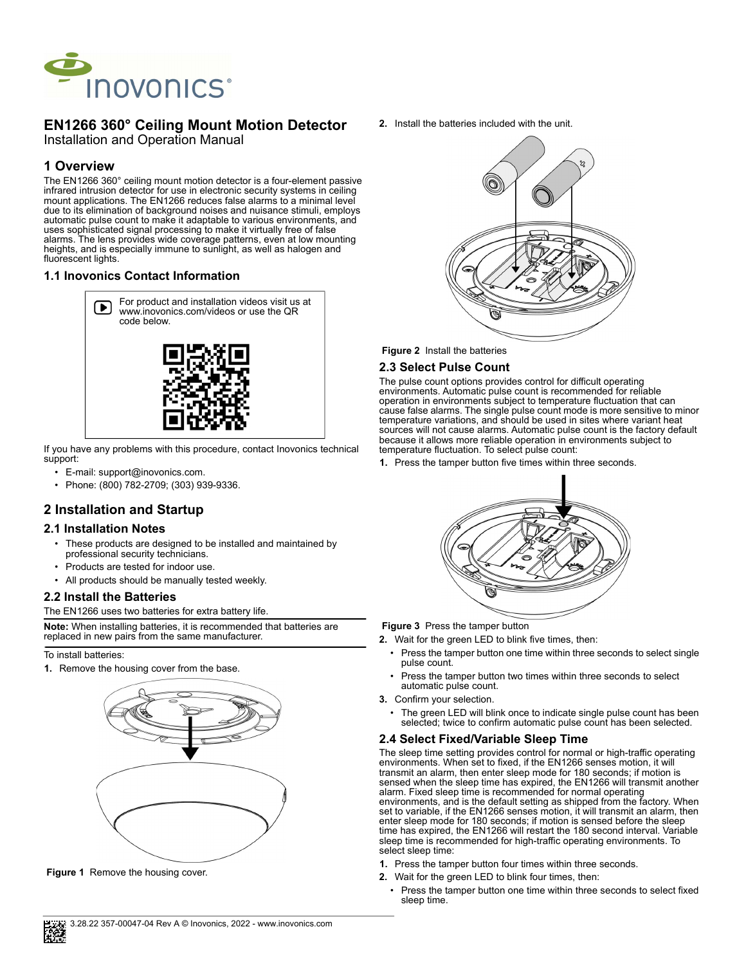

# **EN1266 360° Ceiling Mount Motion Detector**

Installation and Operation Manual

## **1 Overview**

The EN1266 360° ceiling mount motion detector is a four-element passive infrared intrusion detector for use in electronic security systems in ceiling mount applications. The EN1266 reduces false alarms to a minimal level due to its elimination of background noises and nuisance stimuli, employs automatic pulse count to make it adaptable to various environments, and uses sophisticated signal processing to make it virtually free of false alarms. The lens provides wide coverage patterns, even at low mounting heights, and is especially immune to sunlight, as well as halogen and fluorescent lights.

## **1.1 Inovonics Contact Information**



If you have any problems with this procedure, contact Inovonics technical support:

- E-mail: support@inovonics.com.
- Phone: (800) 782-2709; (303) 939-9336.

## **2 Installation and Startup**

### **2.1 Installation Notes**

- These products are designed to be installed and maintained by professional security technicians.
- Products are tested for indoor use.
- All products should be manually tested weekly.

### **2.2 Install the Batteries**

The EN1266 uses two batteries for extra battery life.

**Note:** When installing batteries, it is recommended that batteries are replaced in new pairs from the same manufacturer.

#### To install batteries:

**1.** Remove the housing cover from the base.



**Figure 1** Remove the housing cover.

**2.** Install the batteries included with the unit.



 **Figure 2** Install the batteries

## **2.3 Select Pulse Count**

The pulse count options provides control for difficult operating environments. Automatic pulse count is recommended for reliable operation in environments subject to temperature fluctuation that can cause false alarms. The single pulse count mode is more sensitive to minor temperature variations, and should be used in sites where variant heat sources will not cause alarms. Automatic pulse count is the factory default because it allows more reliable operation in environments subject to temperature fluctuation. To select pulse count:

**1.** Press the tamper button five times within three seconds.



 **Figure 3** Press the tamper button

- **2.** Wait for the green LED to blink five times, then:
	- Press the tamper button one time within three seconds to select single pulse count.
	- Press the tamper button two times within three seconds to select automatic pulse count.
- **3.** Confirm your selection.
	- The green LED will blink once to indicate single pulse count has been selected; twice to confirm automatic pulse count has been selected.

#### **2.4 Select Fixed/Variable Sleep Time**

The sleep time setting provides control for normal or high-traffic operating environments. When set to fixed, if the EN1266 senses motion, it will transmit an alarm, then enter sleep mode for 180 seconds; if motion is sensed when the sleep time has expired, the EN1266 will transmit another alarm. Fixed sleep time is recommended for normal operating environments, and is the default setting as shipped from the factory. When set to variable, if the EN1266 senses motion, it will transmit an alarm, then enter sleep mode for 180 seconds; if motion is sensed before the sleep time has expired, the EN1266 will restart the 180 second interval. Variable sleep time is recommended for high-traffic operating environments. To select sleep time:

- **1.** Press the tamper button four times within three seconds.
- **2.** Wait for the green LED to blink four times, then:
	- Press the tamper button one time within three seconds to select fixed sleep time.

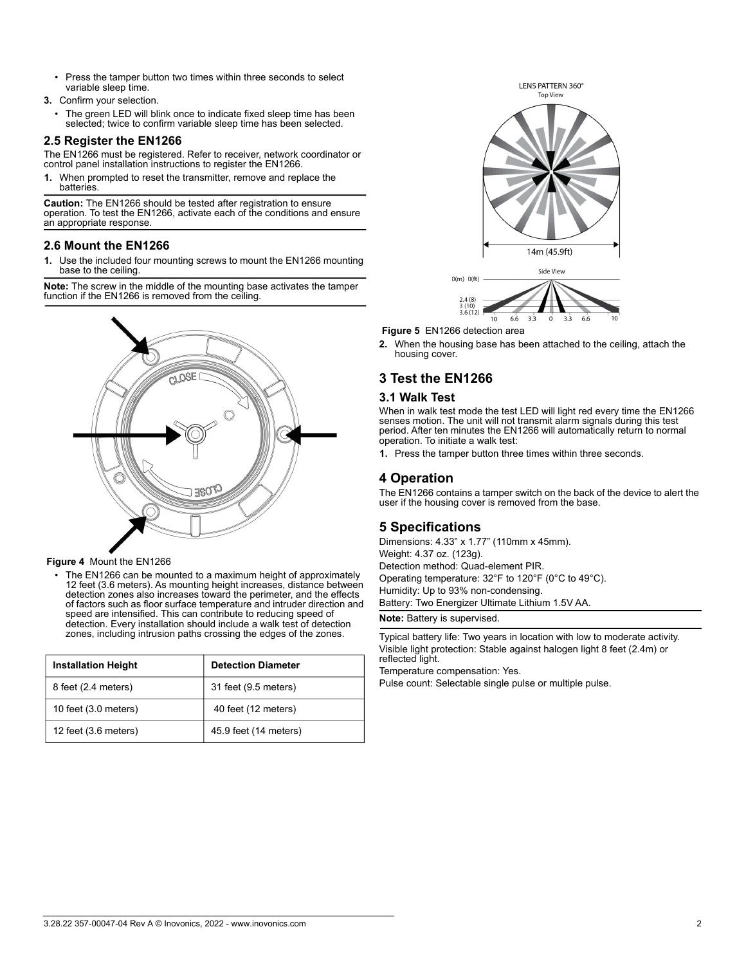- Press the tamper button two times within three seconds to select variable sleep time.
- **3.** Confirm your selection.
	- The green LED will blink once to indicate fixed sleep time has been selected; twice to confirm variable sleep time has been selected.

### **2.5 Register the EN1266**

The EN1266 must be registered. Refer to receiver, network coordinator or control panel installation instructions to register the EN1266.

**1.** When prompted to reset the transmitter, remove and replace the batteries.

**Caution:** The EN1266 should be tested after registration to ensure operation. To test the EN1266, activate each of the conditions and ensure an appropriate response.

### **2.6 Mount the EN1266**

**1.** Use the included four mounting screws to mount the EN1266 mounting base to the ceiling.

**Note:** The screw in the middle of the mounting base activates the tamper function if the EN1266 is removed from the ceiling.



#### **Figure 4** Mount the EN1266

• The EN1266 can be mounted to a maximum height of approximately 12 feet (3.6 meters). As mounting height increases, distance between detection zones also increases toward the perimeter, and the effects of factors such as floor surface temperature and intruder direction and speed are intensified. This can contribute to reducing speed of detection. Every installation should include a walk test of detection zones, including intrusion paths crossing the edges of the zones.

| <b>Installation Height</b> | <b>Detection Diameter</b> |
|----------------------------|---------------------------|
| 8 feet (2.4 meters)        | 31 feet (9.5 meters)      |
| 10 feet (3.0 meters)       | 40 feet (12 meters)       |
| 12 feet $(3.6$ meters)     | 45.9 feet (14 meters)     |



 **Figure 5** EN1266 detection area

**2.** When the housing base has been attached to the ceiling, attach the housing cover.

## **3 Test the EN1266**

#### **3.1 Walk Test**

When in walk test mode the test LED will light red every time the EN1266 senses motion. The unit will not transmit alarm signals during this test period. After ten minutes the EN1266 will automatically return to normal operation. To initiate a walk test:

**1.** Press the tamper button three times within three seconds.

## **4 Operation**

The EN1266 contains a tamper switch on the back of the device to alert the user if the housing cover is removed from the base.

### **5 Specifications**

Dimensions: 4.33" x 1.77" (110mm x 45mm). Weight: 4.37 oz. (123g). Detection method: Quad-element PIR. Operating temperature: 32°F to 120°F (0°C to 49°C). Humidity: Up to 93% non-condensing. Battery: Two Energizer Ultimate Lithium 1.5V AA.

**Note:** Battery is supervised.

Typical battery life: Two years in location with low to moderate activity. Visible light protection: Stable against halogen light 8 feet (2.4m) or reflected light.

Temperature compensation: Yes.

Pulse count: Selectable single pulse or multiple pulse.